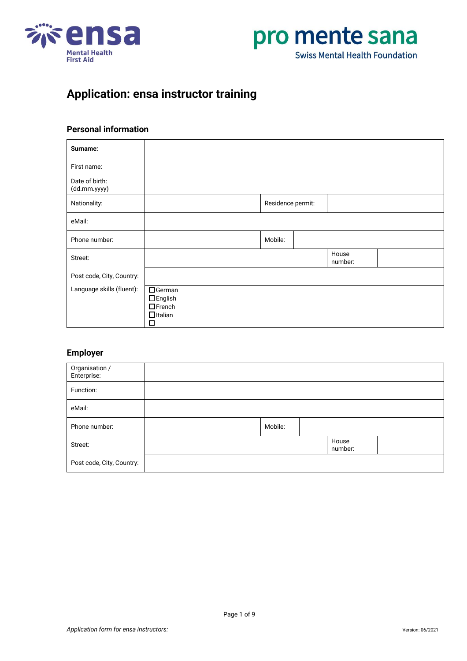



# **Application: ensa instructor training**

### **Personal information**

| Surname:                       |                                                                   |                   |                  |  |
|--------------------------------|-------------------------------------------------------------------|-------------------|------------------|--|
| First name:                    |                                                                   |                   |                  |  |
| Date of birth:<br>(dd.mm.yyyy) |                                                                   |                   |                  |  |
| Nationality:                   |                                                                   | Residence permit: |                  |  |
| eMail:                         |                                                                   |                   |                  |  |
| Phone number:                  |                                                                   | Mobile:           |                  |  |
| Street:                        |                                                                   |                   | House<br>number: |  |
| Post code, City, Country:      |                                                                   |                   |                  |  |
| Language skills (fluent):      | □German<br>$\Box$ English<br>$\Box$ French<br>$\Box$ Italian<br>□ |                   |                  |  |

#### **Employer**

| Organisation /<br>Enterprise: |         |                  |  |
|-------------------------------|---------|------------------|--|
| Function:                     |         |                  |  |
| eMail:                        |         |                  |  |
| Phone number:                 | Mobile: |                  |  |
| Street:                       |         | House<br>number: |  |
| Post code, City, Country:     |         |                  |  |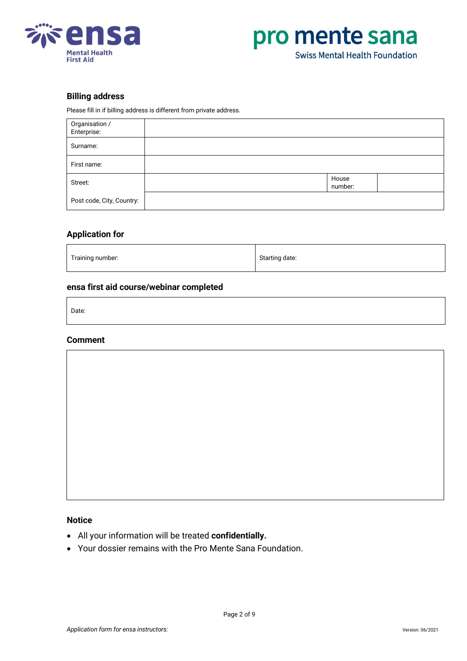



#### **Billing address**

Please fill in if billing address is different from private address.

| Organisation /<br>Enterprise: |                  |  |
|-------------------------------|------------------|--|
| Surname:                      |                  |  |
| First name:                   |                  |  |
| Street:                       | House<br>number: |  |
| Post code, City, Country:     |                  |  |

#### **Application for**

| Training number: | Starting date: |
|------------------|----------------|
|                  |                |

#### **ensa first aid course/webinar completed**

Date:

#### **Comment**



**Notice**

- All your information will be treated **confidentially.**
- Your dossier remains with the Pro Mente Sana Foundation.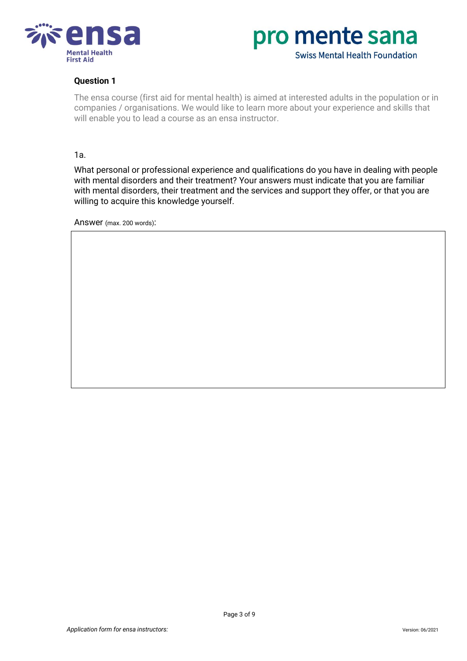



## **Question 1**

The ensa course (first aid for mental health) is aimed at interested adults in the population or in companies / organisations. We would like to learn more about your experience and skills that will enable you to lead a course as an ensa instructor.

#### 1a.

What personal or professional experience and qualifications do you have in dealing with people with mental disorders and their treatment? Your answers must indicate that you are familiar with mental disorders, their treatment and the services and support they offer, or that you are willing to acquire this knowledge yourself.

Answer (max. 200 words):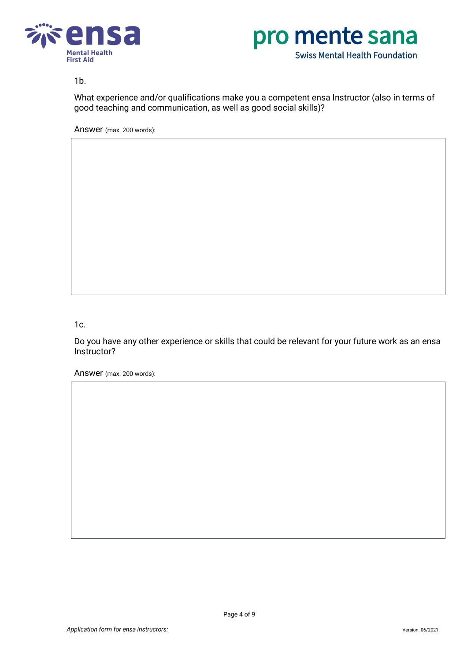



## 1b.

What experience and/or qualifications make you a competent ensa Instructor (also in terms of good teaching and communication, as well as good social skills)?

Answer (max. 200 words):

# 1c.

Do you have any other experience or skills that could be relevant for your future work as an ensa Instructor?

Answer (max. 200 words):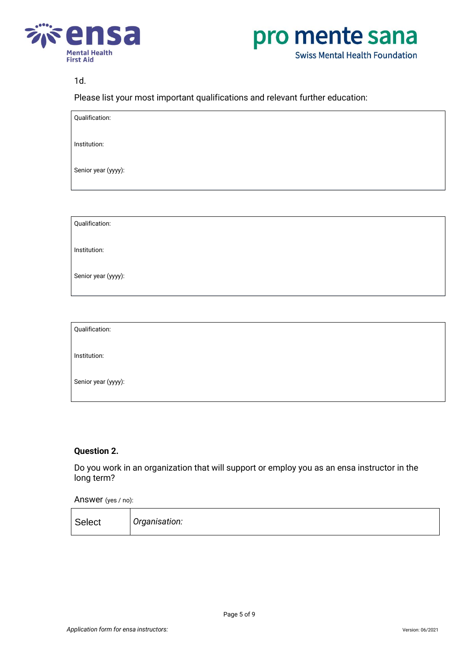



# 1d.

Please list your most important qualifications and relevant further education:

Qualification:

Institution:

Senior year (yyyy):

Qualification:

Institution:

Senior year (yyyy):

Qualification:

Institution:

Senior year (yyyy):

## **Question 2.**

Do you work in an organization that will support or employ you as an ensa instructor in the long term?

#### Answer (yes / no):

| Select | Organisation: |
|--------|---------------|
|--------|---------------|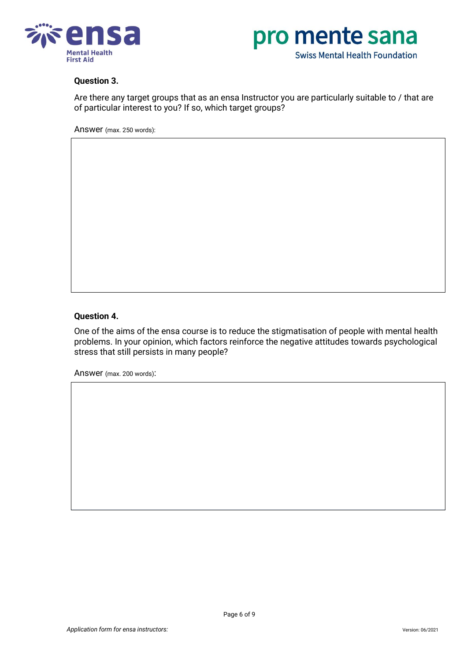



#### **Question 3.**

Are there any target groups that as an ensa Instructor you are particularly suitable to / that are of particular interest to you? If so, which target groups?

Answer (max. 250 words):

## **Question 4.**

One of the aims of the ensa course is to reduce the stigmatisation of people with mental health problems. In your opinion, which factors reinforce the negative attitudes towards psychological stress that still persists in many people?

Answer (max. 200 words):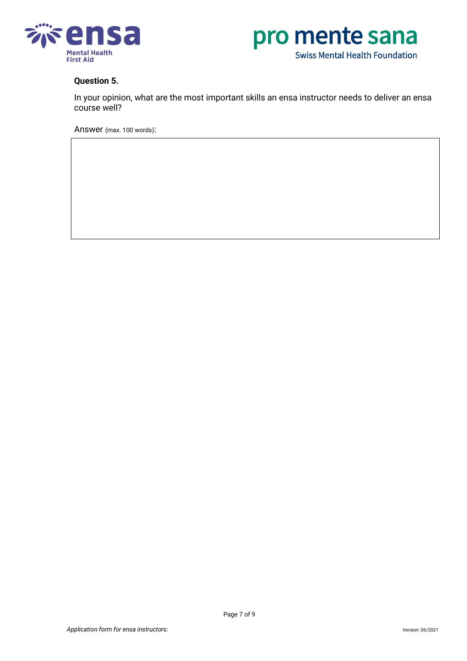



## **Question 5.**

In your opinion, what are the most important skills an ensa instructor needs to deliver an ensa course well?

Answer (max. 100 words):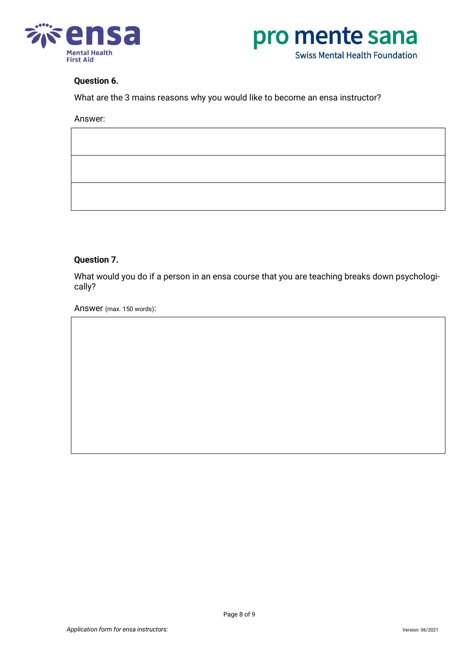



#### **Question 6.**

What are the 3 mains reasons why you would like to become an ensa instructor?

Answer:

## **Question 7.**

What would you do if a person in an ensa course that you are teaching breaks down psychologically?

Answer (max. 150 words):